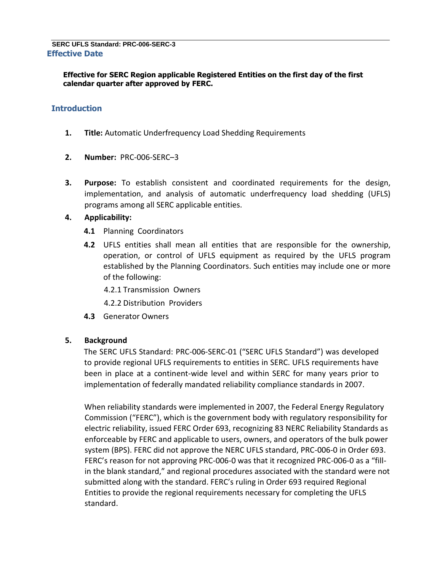**Effective for SERC Region applicable Registered Entities on the first day of the first calendar quarter after approved by FERC.** 

# **Introduction**

- **1. Title:** Automatic Underfrequency Load Shedding Requirements
- **2. Number:** PRC-006-SERC–3
- **3. Purpose:** To establish consistent and coordinated requirements for the design, implementation, and analysis of automatic underfrequency load shedding (UFLS) programs among all SERC applicable entities.

## **4. Applicability:**

- **4.1** Planning Coordinators
- **4.2** UFLS entities shall mean all entities that are responsible for the ownership, operation, or control of UFLS equipment as required by the UFLS program established by the Planning Coordinators. Such entities may include one or more of the following:
	- 4.2.1 Transmission Owners
	- 4.2.2 Distribution Providers
- **4.3** Generator Owners

## **5. Background**

The SERC UFLS Standard: PRC-006-SERC-01 ("SERC UFLS Standard") was developed to provide regional UFLS requirements to entities in SERC. UFLS requirements have been in place at a continent-wide level and within SERC for many years prior to implementation of federally mandated reliability compliance standards in 2007.

When reliability standards were implemented in 2007, the Federal Energy Regulatory Commission ("FERC"), which is the government body with regulatory responsibility for electric reliability, issued FERC Order 693, recognizing 83 NERC Reliability Standards as enforceable by FERC and applicable to users, owners, and operators of the bulk power system (BPS). FERC did not approve the NERC UFLS standard, PRC-006-0 in Order 693. FERC's reason for not approving PRC-006-0 was that it recognized PRC-006-0 as a "fillin the blank standard," and regional procedures associated with the standard were not submitted along with the standard. FERC's ruling in Order 693 required Regional Entities to provide the regional requirements necessary for completing the UFLS standard.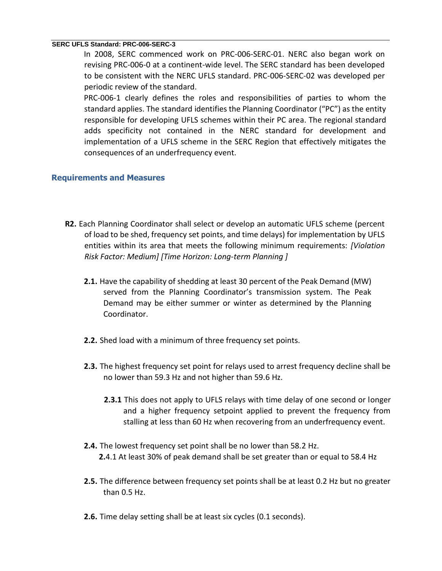In 2008, SERC commenced work on PRC-006-SERC-01. NERC also began work on revising PRC-006-0 at a continent-wide level. The SERC standard has been developed to be consistent with the NERC UFLS standard. PRC-006-SERC-02 was developed per periodic review of the standard.

PRC-006-1 clearly defines the roles and responsibilities of parties to whom the standard applies. The standard identifies the Planning Coordinator ("PC") as the entity responsible for developing UFLS schemes within their PC area. The regional standard adds specificity not contained in the NERC standard for development and implementation of a UFLS scheme in the SERC Region that effectively mitigates the consequences of an underfrequency event.

## **Requirements and Measures**

- **R2.** Each Planning Coordinator shall select or develop an automatic UFLS scheme (percent of load to be shed, frequency set points, and time delays) for implementation by UFLS entities within its area that meets the following minimum requirements: *[Violation Risk Factor: Medium] [Time Horizon: Long-term Planning ]*
	- **2.1.** Have the capability of shedding at least 30 percent of the Peak Demand (MW) served from the Planning Coordinator's transmission system. The Peak Demand may be either summer or winter as determined by the Planning Coordinator.
	- **2.2.** Shed load with a minimum of three frequency set points.
	- **2.3.** The highest frequency set point for relays used to arrest frequency decline shall be no lower than 59.3 Hz and not higher than 59.6 Hz.
		- **2.3.1** This does not apply to UFLS relays with time delay of one second or longer and a higher frequency setpoint applied to prevent the frequency from stalling at less than 60 Hz when recovering from an underfrequency event.
	- **2.4.** The lowest frequency set point shall be no lower than 58.2 Hz. **2.**4.1 At least 30% of peak demand shall be set greater than or equal to 58.4 Hz
	- **2.5.** The difference between frequency set points shall be at least 0.2 Hz but no greater than 0.5 Hz.
	- **2.6.** Time delay setting shall be at least six cycles (0.1 seconds).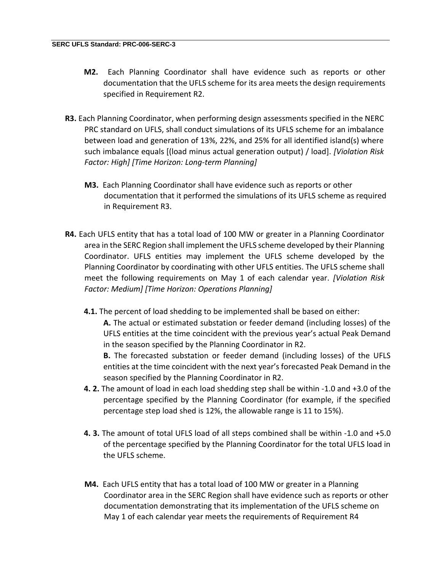- **M2.** Each Planning Coordinator shall have evidence such as reports or other documentation that the UFLS scheme for its area meets the design requirements specified in Requirement R2.
- **R3.** Each Planning Coordinator, when performing design assessments specified in the NERC PRC standard on UFLS, shall conduct simulations of its UFLS scheme for an imbalance between load and generation of 13%, 22%, and 25% for all identified island(s) where such imbalance equals [(load minus actual generation output) / load]. *[Violation Risk Factor: High] [Time Horizon: Long-term Planning]*
	- **M3.** Each Planning Coordinator shall have evidence such as reports or other documentation that it performed the simulations of its UFLS scheme as required in Requirement R3.
- **R4.** Each UFLS entity that has a total load of 100 MW or greater in a Planning Coordinator area in the SERC Region shall implement the UFLS scheme developed by their Planning Coordinator. UFLS entities may implement the UFLS scheme developed by the Planning Coordinator by coordinating with other UFLS entities. The UFLS scheme shall meet the following requirements on May 1 of each calendar year. *[Violation Risk Factor: Medium] [Time Horizon: Operations Planning]*
	- **4.1.** The percent of load shedding to be implemented shall be based on either:

**A.** The actual or estimated substation or feeder demand (including losses) of the UFLS entities at the time coincident with the previous year's actual Peak Demand in the season specified by the Planning Coordinator in R2.

**B.** The forecasted substation or feeder demand (including losses) of the UFLS entities at the time coincident with the next year's forecasted Peak Demand in the season specified by the Planning Coordinator in R2.

- **4. 2.** The amount of load in each load shedding step shall be within -1.0 and +3.0 of the percentage specified by the Planning Coordinator (for example, if the specified percentage step load shed is 12%, the allowable range is 11 to 15%).
- **4. 3.** The amount of total UFLS load of all steps combined shall be within -1.0 and +5.0 of the percentage specified by the Planning Coordinator for the total UFLS load in the UFLS scheme.
- **M4.** Each UFLS entity that has a total load of 100 MW or greater in a Planning Coordinator area in the SERC Region shall have evidence such as reports or other documentation demonstrating that its implementation of the UFLS scheme on May 1 of each calendar year meets the requirements of Requirement R4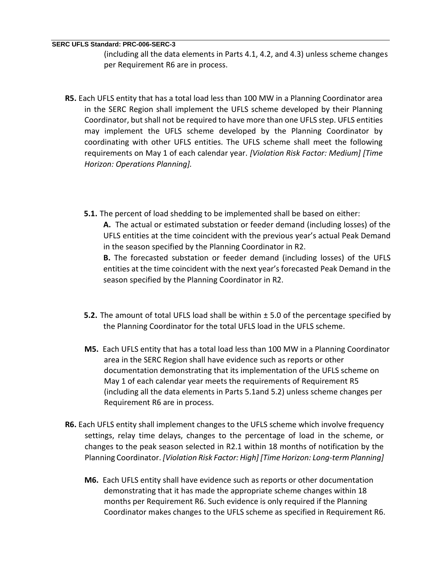(including all the data elements in Parts 4.1, 4.2, and 4.3) unless scheme changes per Requirement R6 are in process.

- **R5.** Each UFLS entity that has a total load less than 100 MW in a Planning Coordinator area in the SERC Region shall implement the UFLS scheme developed by their Planning Coordinator, but shall not be required to have more than one UFLS step. UFLS entities may implement the UFLS scheme developed by the Planning Coordinator by coordinating with other UFLS entities. The UFLS scheme shall meet the following requirements on May 1 of each calendar year. *[Violation Risk Factor: Medium] [Time Horizon: Operations Planning].*
	- **5.1.** The percent of load shedding to be implemented shall be based on either: **A.** The actual or estimated substation or feeder demand (including losses) of the UFLS entities at the time coincident with the previous year's actual Peak Demand in the season specified by the Planning Coordinator in R2. **B.** The forecasted substation or feeder demand (including losses) of the UFLS entities at the time coincident with the next year's forecasted Peak Demand in the season specified by the Planning Coordinator in R2.
	- **5.2.** The amount of total UFLS load shall be within ± 5.0 of the percentage specified by the Planning Coordinator for the total UFLS load in the UFLS scheme.
	- **M5.** Each UFLS entity that has a total load less than 100 MW in a Planning Coordinator area in the SERC Region shall have evidence such as reports or other documentation demonstrating that its implementation of the UFLS scheme on May 1 of each calendar year meets the requirements of Requirement R5 (including all the data elements in Parts 5.1and 5.2) unless scheme changes per Requirement R6 are in process.
- **R6.** Each UFLS entity shall implement changes to the UFLS scheme which involve frequency settings, relay time delays, changes to the percentage of load in the scheme, or changes to the peak season selected in R2.1 within 18 months of notification by the Planning Coordinator. *[Violation Risk Factor: High] [Time Horizon: Long-term Planning]*
	- **M6.** Each UFLS entity shall have evidence such as reports or other documentation demonstrating that it has made the appropriate scheme changes within 18 months per Requirement R6. Such evidence is only required if the Planning Coordinator makes changes to the UFLS scheme as specified in Requirement R6.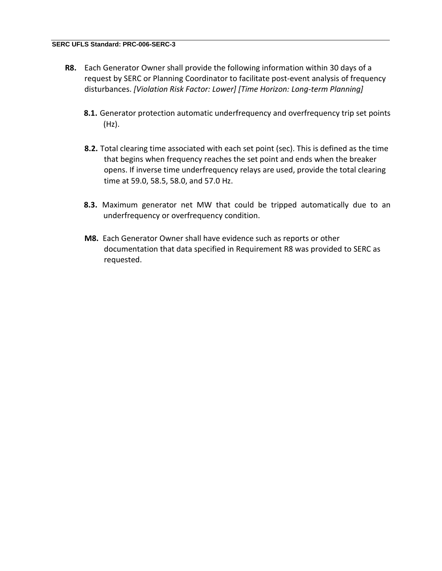- **R8.** Each Generator Owner shall provide the following information within 30 days of a request by SERC or Planning Coordinator to facilitate post-event analysis of frequency disturbances. *[Violation Risk Factor: Lower] [Time Horizon: Long-term Planning]*
	- **8.1.** Generator protection automatic underfrequency and overfrequency trip set points (Hz).
	- **8.2.** Total clearing time associated with each set point (sec). This is defined as the time that begins when frequency reaches the set point and ends when the breaker opens. If inverse time underfrequency relays are used, provide the total clearing time at 59.0, 58.5, 58.0, and 57.0 Hz.
	- **8.3.** Maximum generator net MW that could be tripped automatically due to an underfrequency or overfrequency condition.
	- **M8.** Each Generator Owner shall have evidence such as reports or other documentation that data specified in Requirement R8 was provided to SERC as requested.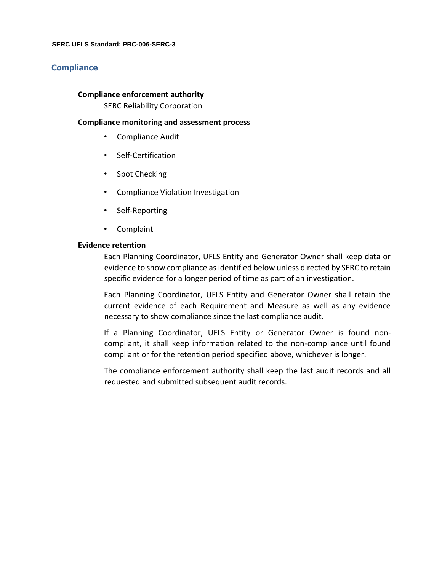## **Compliance**

### **Compliance enforcement authority**

SERC Reliability Corporation

### **Compliance monitoring and assessment process**

- Compliance Audit
- Self-Certification
- Spot Checking
- Compliance Violation Investigation
- Self-Reporting
- Complaint

### **Evidence retention**

Each Planning Coordinator, UFLS Entity and Generator Owner shall keep data or evidence to show compliance as identified below unless directed by SERC to retain specific evidence for a longer period of time as part of an investigation.

Each Planning Coordinator, UFLS Entity and Generator Owner shall retain the current evidence of each Requirement and Measure as well as any evidence necessary to show compliance since the last compliance audit.

If a Planning Coordinator, UFLS Entity or Generator Owner is found noncompliant, it shall keep information related to the non-compliance until found compliant or for the retention period specified above, whichever is longer.

The compliance enforcement authority shall keep the last audit records and all requested and submitted subsequent audit records.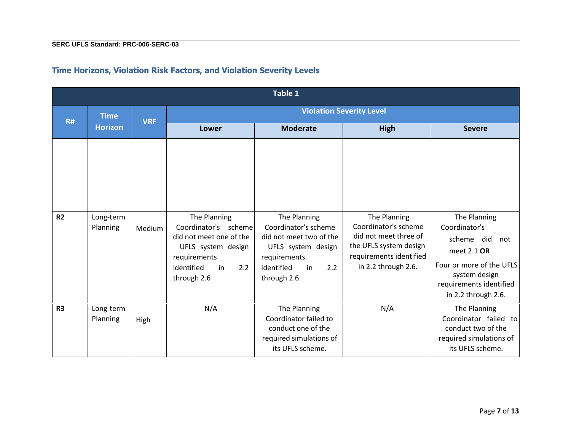|                | Table 1               |            |                                                                                                                                                 |                                                                                                                                                  |                                                                                                                                           |                                                                                                                                                                  |  |
|----------------|-----------------------|------------|-------------------------------------------------------------------------------------------------------------------------------------------------|--------------------------------------------------------------------------------------------------------------------------------------------------|-------------------------------------------------------------------------------------------------------------------------------------------|------------------------------------------------------------------------------------------------------------------------------------------------------------------|--|
| <b>R#</b>      | <b>Time</b>           | <b>VRF</b> | <b>Violation Severity Level</b>                                                                                                                 |                                                                                                                                                  |                                                                                                                                           |                                                                                                                                                                  |  |
|                | <b>Horizon</b>        |            | Lower                                                                                                                                           | <b>Moderate</b>                                                                                                                                  | <b>High</b>                                                                                                                               | <b>Severe</b>                                                                                                                                                    |  |
| R <sub>2</sub> | Long-term<br>Planning | Medium     | The Planning<br>Coordinator's scheme<br>did not meet one of the<br>UFLS system design<br>requirements<br>identified<br>in<br>2.2<br>through 2.6 | The Planning<br>Coordinator's scheme<br>did not meet two of the<br>UFLS system design<br>requirements<br>identified<br>in<br>2.2<br>through 2.6. | The Planning<br>Coordinator's scheme<br>did not meet three of<br>the UFLS system design<br>requirements identified<br>in 2.2 through 2.6. | The Planning<br>Coordinator's<br>scheme did<br>not<br>meet 2.1 OR<br>Four or more of the UFLS<br>system design<br>requirements identified<br>in 2.2 through 2.6. |  |
| R <sub>3</sub> | Long-term<br>Planning | High       | N/A                                                                                                                                             | The Planning<br>Coordinator failed to<br>conduct one of the<br>required simulations of<br>its UFLS scheme.                                       | N/A                                                                                                                                       | The Planning<br>Coordinator failed to<br>conduct two of the<br>required simulations of<br>its UFLS scheme.                                                       |  |

# **Time Horizons, Violation Risk Factors, and Violation Severity Levels**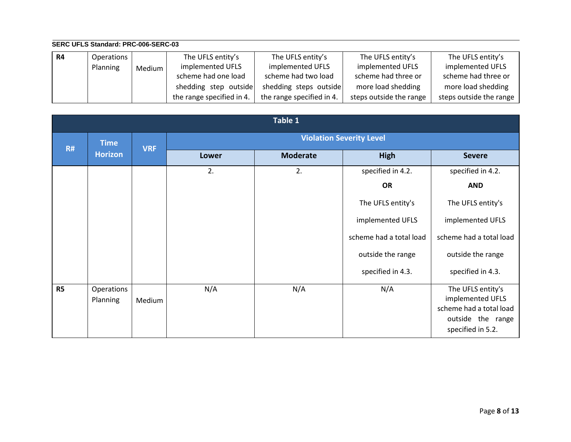#### **SERC UFLS Standard: PRC-006-SERC-03 R4** Operations Planning | Medium The UFLS entity's implemented UFLS scheme had one load shedding step outside the range specified in 4. The UFLS entity's implemented UFLS scheme had two load shedding steps outside the range specified in 4. The UFLS entity's implemented UFLS scheme had three or more load shedding steps outside the range The UFLS entity's implemented UFLS scheme had three or more load shedding steps outside the range

|           | Table 1                       |            |              |                                 |                         |                                                                                                            |  |
|-----------|-------------------------------|------------|--------------|---------------------------------|-------------------------|------------------------------------------------------------------------------------------------------------|--|
| R#        | <b>Time</b><br><b>Horizon</b> | <b>VRF</b> |              | <b>Violation Severity Level</b> |                         |                                                                                                            |  |
|           |                               |            | <b>Lower</b> | <b>Moderate</b>                 | High                    | <b>Severe</b>                                                                                              |  |
|           |                               |            | 2.           | 2.                              | specified in 4.2.       | specified in 4.2.                                                                                          |  |
|           |                               |            |              |                                 | <b>OR</b>               | <b>AND</b>                                                                                                 |  |
|           |                               |            |              |                                 | The UFLS entity's       | The UFLS entity's                                                                                          |  |
|           |                               |            |              |                                 | implemented UFLS        | implemented UFLS                                                                                           |  |
|           |                               |            |              |                                 | scheme had a total load | scheme had a total load                                                                                    |  |
|           |                               |            |              |                                 | outside the range       | outside the range                                                                                          |  |
|           |                               |            |              |                                 | specified in 4.3.       | specified in 4.3.                                                                                          |  |
| <b>R5</b> | Operations<br>Planning        | Medium     | N/A          | N/A                             | N/A                     | The UFLS entity's<br>implemented UFLS<br>scheme had a total load<br>outside the range<br>specified in 5.2. |  |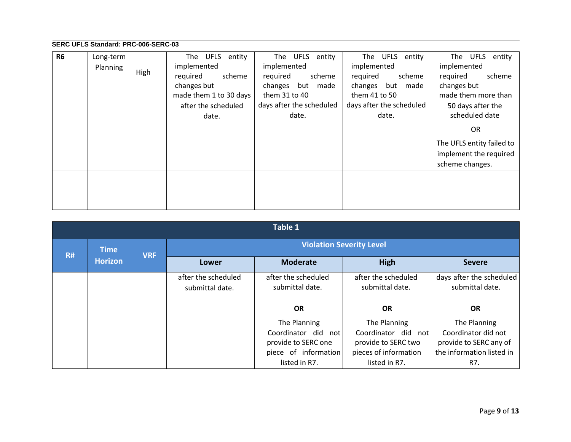| <b>R6</b> | Long-term |      | UFLS<br>entity<br>The  | UFLS entity<br>The       | UFLS entity<br>The       | entity<br><b>UFLS</b><br>The |
|-----------|-----------|------|------------------------|--------------------------|--------------------------|------------------------------|
|           | Planning  |      | implemented            | implemented              | implemented              | implemented                  |
|           |           | High | required<br>scheme     | required<br>scheme       | required<br>scheme       | required<br>scheme           |
|           |           |      | changes but            | changes<br>but<br>made   | changes<br>but<br>made   | changes but                  |
|           |           |      | made them 1 to 30 days | them 31 to 40            | them 41 to 50            | made them more than          |
|           |           |      | after the scheduled    | days after the scheduled | days after the scheduled | 50 days after the            |
|           |           |      | date.                  | date.                    | date.                    | scheduled date               |
|           |           |      |                        |                          |                          | OR.                          |
|           |           |      |                        |                          |                          | The UFLS entity failed to    |
|           |           |      |                        |                          |                          | implement the required       |
|           |           |      |                        |                          |                          | scheme changes.              |
|           |           |      |                        |                          |                          |                              |
|           |           |      |                        |                          |                          |                              |
|           |           |      |                        |                          |                          |                              |
|           |           |      |                        |                          |                          |                              |

|           | Table 1                       |            |                                        |                                            |                                            |                                               |  |
|-----------|-------------------------------|------------|----------------------------------------|--------------------------------------------|--------------------------------------------|-----------------------------------------------|--|
| <b>R#</b> | <b>Time</b><br><b>Horizon</b> | <b>VRF</b> |                                        | <b>Violation Severity Level</b>            |                                            |                                               |  |
|           |                               |            | Lower                                  | <b>Moderate</b>                            | High                                       | <b>Severe</b>                                 |  |
|           |                               |            | after the scheduled<br>submittal date. | after the scheduled<br>submittal date.     | after the scheduled<br>submittal date.     | days after the scheduled<br>submittal date.   |  |
|           |                               |            |                                        | <b>OR</b>                                  | <b>OR</b>                                  | <b>OR</b>                                     |  |
|           |                               |            |                                        | The Planning                               | The Planning                               | The Planning                                  |  |
|           |                               |            |                                        | Coordinator did not<br>provide to SERC one | Coordinator did not<br>provide to SERC two | Coordinator did not<br>provide to SERC any of |  |
|           |                               |            |                                        | piece of information                       | pieces of information                      | the information listed in                     |  |
|           |                               |            |                                        | listed in R7.                              | listed in R7.                              | R7.                                           |  |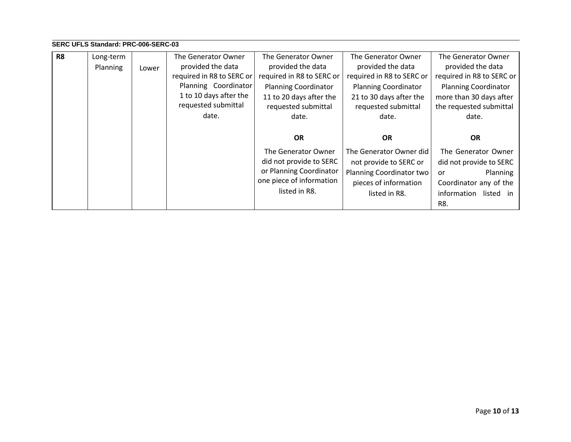| R <sub>8</sub> | Long-term<br>Planning | Lower | The Generator Owner<br>provided the data<br>required in R8 to SERC or<br>Planning Coordinator<br>1 to 10 days after the<br>requested submittal<br>date. | The Generator Owner<br>provided the data<br>required in R8 to SERC or<br><b>Planning Coordinator</b><br>11 to 20 days after the<br>requested submittal<br>date. | The Generator Owner<br>provided the data<br>required in R8 to SERC or<br><b>Planning Coordinator</b><br>21 to 30 days after the<br>requested submittal<br>date. | The Generator Owner<br>provided the data<br>required in R8 to SERC or<br><b>Planning Coordinator</b><br>more than 30 days after<br>the requested submittal<br>date. |
|----------------|-----------------------|-------|---------------------------------------------------------------------------------------------------------------------------------------------------------|-----------------------------------------------------------------------------------------------------------------------------------------------------------------|-----------------------------------------------------------------------------------------------------------------------------------------------------------------|---------------------------------------------------------------------------------------------------------------------------------------------------------------------|
|                |                       |       |                                                                                                                                                         | <b>OR</b><br>The Generator Owner<br>did not provide to SERC<br>or Planning Coordinator<br>one piece of information<br>listed in R8.                             | <b>OR</b><br>The Generator Owner did<br>not provide to SERC or<br>Planning Coordinator two<br>pieces of information<br>listed in R8.                            | <b>OR</b><br>The Generator Owner<br>did not provide to SERC<br>Planning<br><b>or</b><br>Coordinator any of the<br>listed in<br>information<br>R8.                   |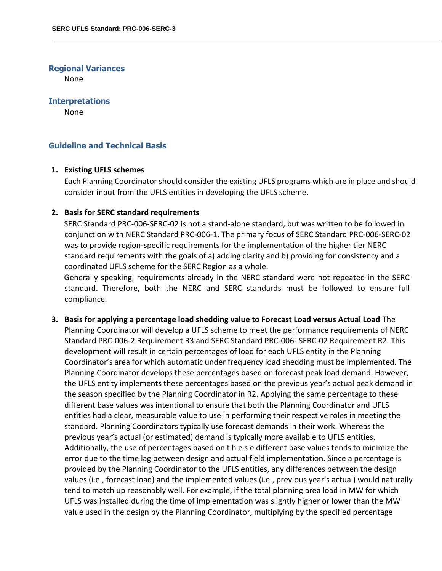### **Regional Variances**

None

### **Interpretations**

None

## **Guideline and Technical Basis**

### **1. Existing UFLS schemes**

Each Planning Coordinator should consider the existing UFLS programs which are in place and should consider input from the UFLS entities in developing the UFLS scheme.

### **2. Basis for SERC standard requirements**

SERC Standard PRC-006-SERC-02 is not a stand-alone standard, but was written to be followed in conjunction with NERC Standard PRC-006-1. The primary focus of SERC Standard PRC-006-SERC-02 was to provide region-specific requirements for the implementation of the higher tier NERC standard requirements with the goals of a) adding clarity and b) providing for consistency and a coordinated UFLS scheme for the SERC Region as a whole.

Generally speaking, requirements already in the NERC standard were not repeated in the SERC standard. Therefore, both the NERC and SERC standards must be followed to ensure full compliance.

**3. Basis for applying a percentage load shedding value to Forecast Load versus Actual Load** The Planning Coordinator will develop a UFLS scheme to meet the performance requirements of NERC Standard PRC-006-2 Requirement R3 and SERC Standard PRC-006- SERC-02 Requirement R2. This development will result in certain percentages of load for each UFLS entity in the Planning Coordinator's area for which automatic under frequency load shedding must be implemented. The Planning Coordinator develops these percentages based on forecast peak load demand. However, the UFLS entity implements these percentages based on the previous year's actual peak demand in the season specified by the Planning Coordinator in R2. Applying the same percentage to these different base values was intentional to ensure that both the Planning Coordinator and UFLS entities had a clear, measurable value to use in performing their respective roles in meeting the standard. Planning Coordinators typically use forecast demands in their work. Whereas the previous year's actual (or estimated) demand is typically more available to UFLS entities. Additionally, the use of percentages based on t h e s e different base values tends to minimize the error due to the time lag between design and actual field implementation. Since a percentage is provided by the Planning Coordinator to the UFLS entities, any differences between the design values (i.e., forecast load) and the implemented values (i.e., previous year's actual) would naturally tend to match up reasonably well. For example, if the total planning area load in MW for which UFLS was installed during the time of implementation was slightly higher or lower than the MW value used in the design by the Planning Coordinator, multiplying by the specified percentage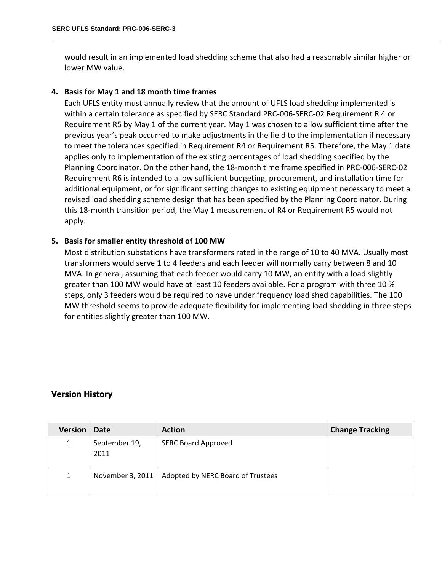would result in an implemented load shedding scheme that also had a reasonably similar higher or lower MW value.

### **4. Basis for May 1 and 18 month time frames**

Each UFLS entity must annually review that the amount of UFLS load shedding implemented is within a certain tolerance as specified by SERC Standard PRC-006-SERC-02 Requirement R 4 or Requirement R5 by May 1 of the current year. May 1 was chosen to allow sufficient time after the previous year's peak occurred to make adjustments in the field to the implementation if necessary to meet the tolerances specified in Requirement R4 or Requirement R5. Therefore, the May 1 date applies only to implementation of the existing percentages of load shedding specified by the Planning Coordinator. On the other hand, the 18-month time frame specified in PRC-006-SERC-02 Requirement R6 is intended to allow sufficient budgeting, procurement, and installation time for additional equipment, or for significant setting changes to existing equipment necessary to meet a revised load shedding scheme design that has been specified by the Planning Coordinator. During this 18-month transition period, the May 1 measurement of R4 or Requirement R5 would not apply.

## **5. Basis for smaller entity threshold of 100 MW**

Most distribution substations have transformers rated in the range of 10 to 40 MVA. Usually most transformers would serve 1 to 4 feeders and each feeder will normally carry between 8 and 10 MVA. In general, assuming that each feeder would carry 10 MW, an entity with a load slightly greater than 100 MW would have at least 10 feeders available. For a program with three 10 % steps, only 3 feeders would be required to have under frequency load shed capabilities. The 100 MW threshold seems to provide adequate flexibility for implementing load shedding in three steps for entities slightly greater than 100 MW.

## **Version History**

| <b>Version</b> | <b>Date</b>           | <b>Action</b>                     | <b>Change Tracking</b> |
|----------------|-----------------------|-----------------------------------|------------------------|
|                | September 19,<br>2011 | <b>SERC Board Approved</b>        |                        |
|                | November 3, 2011      | Adopted by NERC Board of Trustees |                        |